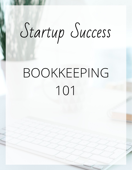# Startup Success

## BOOKKEEPING 101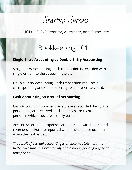Startup Success

MODULE 6 // Organize, Automate, and Outsource

### Bookkeeping 101

#### **Single-Entry Accounting vs Double-Entry Accounting**

Single-Entry Accounting: Each transaction is recorded with a single entry into the accounting system.

Double-Entry Accounting: Each transaction requires a corresponding and opposite entry to a different account.

#### **Cash Accounting vs Accrual Accounting**

Cash Accounting: Payment receipts are recorded during the period they are received, and expenses are recorded in the period in which they are actually paid.

Accrual Accounting: Expenses are matched with the related revenues and/or are reported when the expense occurs, not when the cash is paid.

*The result of accrual accounting is an income statement that better measures the profitability of a company during a specific time period.*